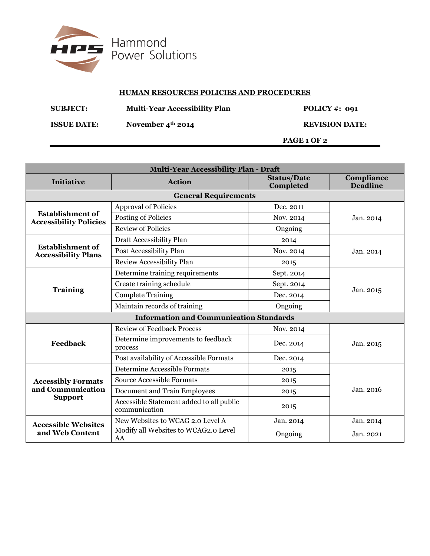

## **HUMAN RESOURCES POLICIES AND PROCEDURES**

| <b>SUBJECT:</b>    | <b>Multi-Year Accessibility Plan</b> | POLICY #: $091$       |  |
|--------------------|--------------------------------------|-----------------------|--|
| <b>ISSUE DATE:</b> | November $4th$ 2014                  | <b>REVISION DATE:</b> |  |
|                    |                                      | PAGE 1 OF 2           |  |

| <b>Multi-Year Accessibility Plan - Draft</b>                     |                                                           |                                 |                               |  |  |
|------------------------------------------------------------------|-----------------------------------------------------------|---------------------------------|-------------------------------|--|--|
| Initiative                                                       | <b>Action</b>                                             | <b>Status/Date</b><br>Completed | Compliance<br><b>Deadline</b> |  |  |
| <b>General Requirements</b>                                      |                                                           |                                 |                               |  |  |
| <b>Establishment of</b><br><b>Accessibility Policies</b>         | <b>Approval of Policies</b>                               | Dec. 2011                       | Jan. 2014                     |  |  |
|                                                                  | Posting of Policies                                       | Nov. 2014                       |                               |  |  |
|                                                                  | <b>Review of Policies</b>                                 | Ongoing                         |                               |  |  |
| <b>Establishment of</b><br><b>Accessibility Plans</b>            | Draft Accessibility Plan                                  | 2014                            | Jan. 2014                     |  |  |
|                                                                  | Post Accessibility Plan                                   | Nov. 2014                       |                               |  |  |
|                                                                  | Review Accessibility Plan                                 | 2015                            |                               |  |  |
|                                                                  | Determine training requirements                           | Sept. 2014                      | Jan. 2015                     |  |  |
|                                                                  | Create training schedule                                  | Sept. 2014                      |                               |  |  |
| <b>Training</b>                                                  | <b>Complete Training</b>                                  | Dec. 2014                       |                               |  |  |
|                                                                  | Maintain records of training                              | Ongoing                         |                               |  |  |
| <b>Information and Communication Standards</b>                   |                                                           |                                 |                               |  |  |
|                                                                  | <b>Review of Feedback Process</b>                         | Nov. 2014                       | Jan. 2015                     |  |  |
| <b>Feedback</b>                                                  | Determine improvements to feedback<br>process             | Dec. 2014                       |                               |  |  |
|                                                                  | Post availability of Accessible Formats                   | Dec. 2014                       |                               |  |  |
| <b>Accessibly Formats</b><br>and Communication<br><b>Support</b> | Determine Accessible Formats                              | 2015                            | Jan. 2016                     |  |  |
|                                                                  | <b>Source Accessible Formats</b>                          | 2015                            |                               |  |  |
|                                                                  | Document and Train Employees                              | 2015                            |                               |  |  |
|                                                                  | Accessible Statement added to all public<br>communication | 2015                            |                               |  |  |
| <b>Accessible Websites</b><br>and Web Content                    | New Websites to WCAG 2.0 Level A                          | Jan. 2014                       | Jan. 2014                     |  |  |
|                                                                  | Modify all Websites to WCAG2.0 Level<br>AA                | Ongoing                         | Jan. 2021                     |  |  |